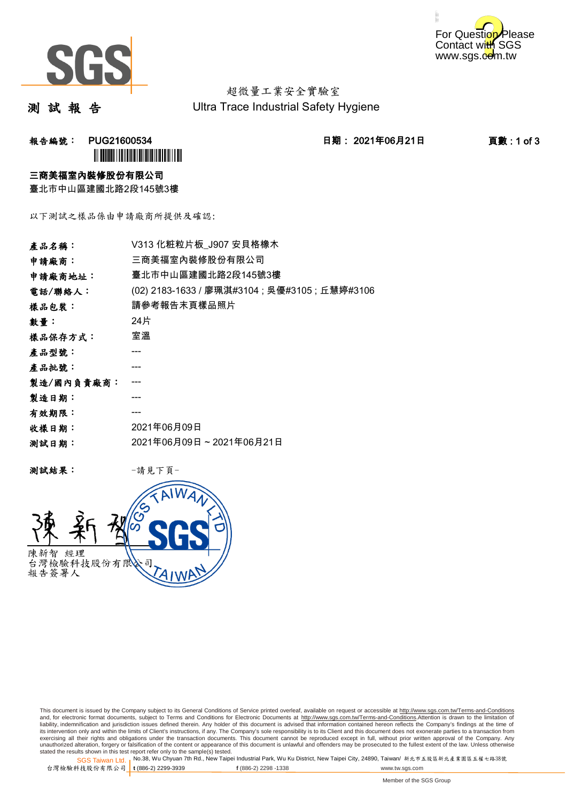



超微量工業安全實驗室 Ultra Trace Industrial Safety Hygiene

測 試 報 告

报告編號: PUG21600534 **1 PUG21600534 1 CODE 2021年06月21日 1 页數:1 of 3 `** 

#### 三商美福室內裝修股份有限公司

臺北市中山區建國北路2段145號3樓

以下測試之樣品係由申請廠商所提供及確認:

| 產品名稱:      | V313 化粧粒片板 J907 安貝格橡木                          |  |  |
|------------|------------------------------------------------|--|--|
| 申請廠商:      | 三商美福室內裝修股份有限公司                                 |  |  |
| 申請廠商地址:    | 臺北市中山區建國北路2段145號3樓                             |  |  |
| 電話/聯絡人:    | (02) 2183-1633 / 廖珮淇#3104 ; 吳優#3105 ; 丘慧婷#3106 |  |  |
| 樣品包裝:      | 請參考報告末頁樣品照片                                    |  |  |
| 數量:        | 24片                                            |  |  |
| 樣品保存方式:    | 室溫                                             |  |  |
| 產品型號:      |                                                |  |  |
| 產品批號:      |                                                |  |  |
| 製造/國內負責廠商: |                                                |  |  |
| 製造日期:      |                                                |  |  |
| 有效期限:      |                                                |  |  |
| 收樣日期:      | 2021年06月09日                                    |  |  |
| 测試日期:      | 2021年06月09日~2021年06月21日                        |  |  |
|            |                                                |  |  |

测試結果: 一請見下頁



This document is issued by the Company subject to its General Conditions of Service printed overleaf, available on request or accessible at http://www.sgs.com.tw/Terms-and-Conditions and, for electronic format documents, subject to Terms and Conditions for Electronic Documents at <u>http://www.sgs.com.tw/Terms-and-Conditions</u>.Attention is drawn to the limitation of<br>liability, indemnification and jurisdic exercising all their rights and obligations under the transaction documents. This document cannot be reproduced except in full, without prior written approval of the Company. Any<br>unauthorized alteration, forgery or falsifi

SGS Taiwan Ltd. 1 stated the results shown in this test report refer only to the sample(s) tested.<br>Stated the results shown in this test report refer only to the sample(s) tested.

台灣檢驗科技股份有限公司

```
t (886-2) 2299-3939 f (886-2) 2298 -1338 www.tw.sgs.com
```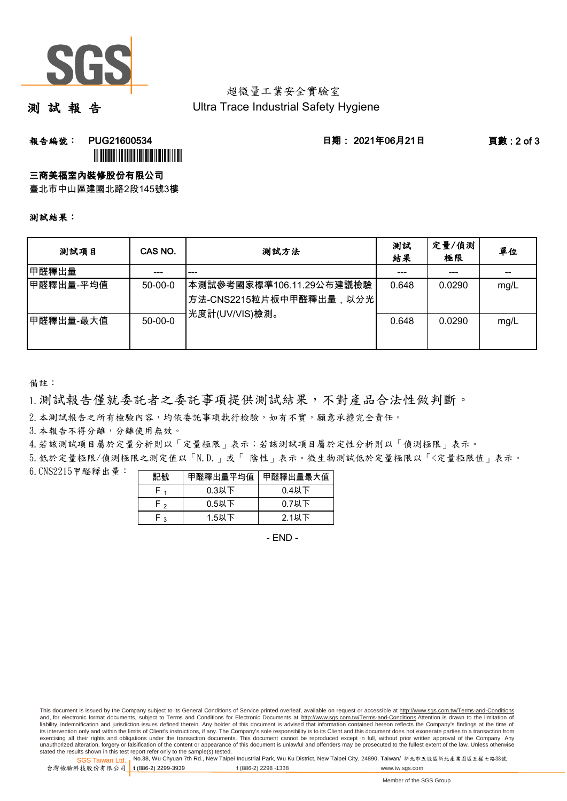

## 超微量工業安全實驗室 Ultra Trace Industrial Safety Hygiene

測 試 報 告

## **報告編號: PUG21600534 日期: 2021年06月21日 頁數:2 of 3** ÌPUG21600532GÎ

三商美福室內裝修股份有限公司

臺北市中山區建國北路2段145號3樓

#### 測試結果:

| 测試項目       | CAS NO.   | 測試方法                                                                   | 測試<br>結果 | 定量/偵測<br>極限 | 單位   |
|------------|-----------|------------------------------------------------------------------------|----------|-------------|------|
| 甲醛釋出量      | ---       | ---                                                                    |          | ---         |      |
| ┃甲醛釋出量-平均值 | $50-00-0$ | 本測試參考國家標準106.11.29公布建議檢驗<br>方法-CNS2215粒片板中甲醛釋出量,以分光<br> 光度計(UV/VIS)檢測。 | 0.648    | 0.0290      | mg/L |
| 甲醛釋出量-最大值  | $50-00-0$ |                                                                        | 0.648    | 0.0290      | mg/L |

備註:

1.測試報告僅就委託者之委託事項提供測試結果,不對產品合法性做判斷。

2. 本測試報告之所有檢驗內容,均依委託事項執行檢驗,如有不實,願意承擔完全責任。

3. 本報告不得分離,分離使用無效。

4.若該測試項目屬於定量分析則以「定量極限」表示;若該測試項目屬於定性分析則以「偵測極限」表示。

5.低於定量極限/偵測極限之測定值以「N.D.」或「 陰性」表示。微生物測試低於定量極限以「<定量極限值」表示。

6.CNS2215甲醛釋出量: 

| 記號  | 甲醛釋出量平均值 | 甲醛釋出量最大值 |
|-----|----------|----------|
|     | $0.3$ 以下 | $0.4$ 以下 |
| ه ۲ | $0.5$ 以下 | $0.7$ 以下 |
| ົ   | 1.5以下    | $2.1$ 以下 |

- END -

This document is issued by the Company subject to its General Conditions of Service printed overleaf, available on request or accessible at http://www.sgs.com.tw/Terms-and-Conditions and, for electronic format documents, subject to Terms and Conditions for Electronic Documents at http://www.sgs.com.tw/Terms-and-Conditions.Attention is drawn to the limitation of liability, indemnification and jurisdiction issues defined therein. Any holder of this document is advised that information contained hereon reflects the Company's findings at the time of<br>its intervention only and within t exercising all their rights and obligations under the transaction documents. This document cannot be reproduced except in full, without prior written approval of the Company. Any<br>unauthorized alteration, forgery or falsifi

SGS Taiwan Ltd. 1 stated the results shown in this test report refer only to the sample(s) tested.<br>Stated the results shown in this test report refer only to the sample(s) tested.

台灣檢驗科技股份有限公司

**t** (886-2) 2299-3939 **f** (886-2) 2298 -1338 www.tw.sgs.com